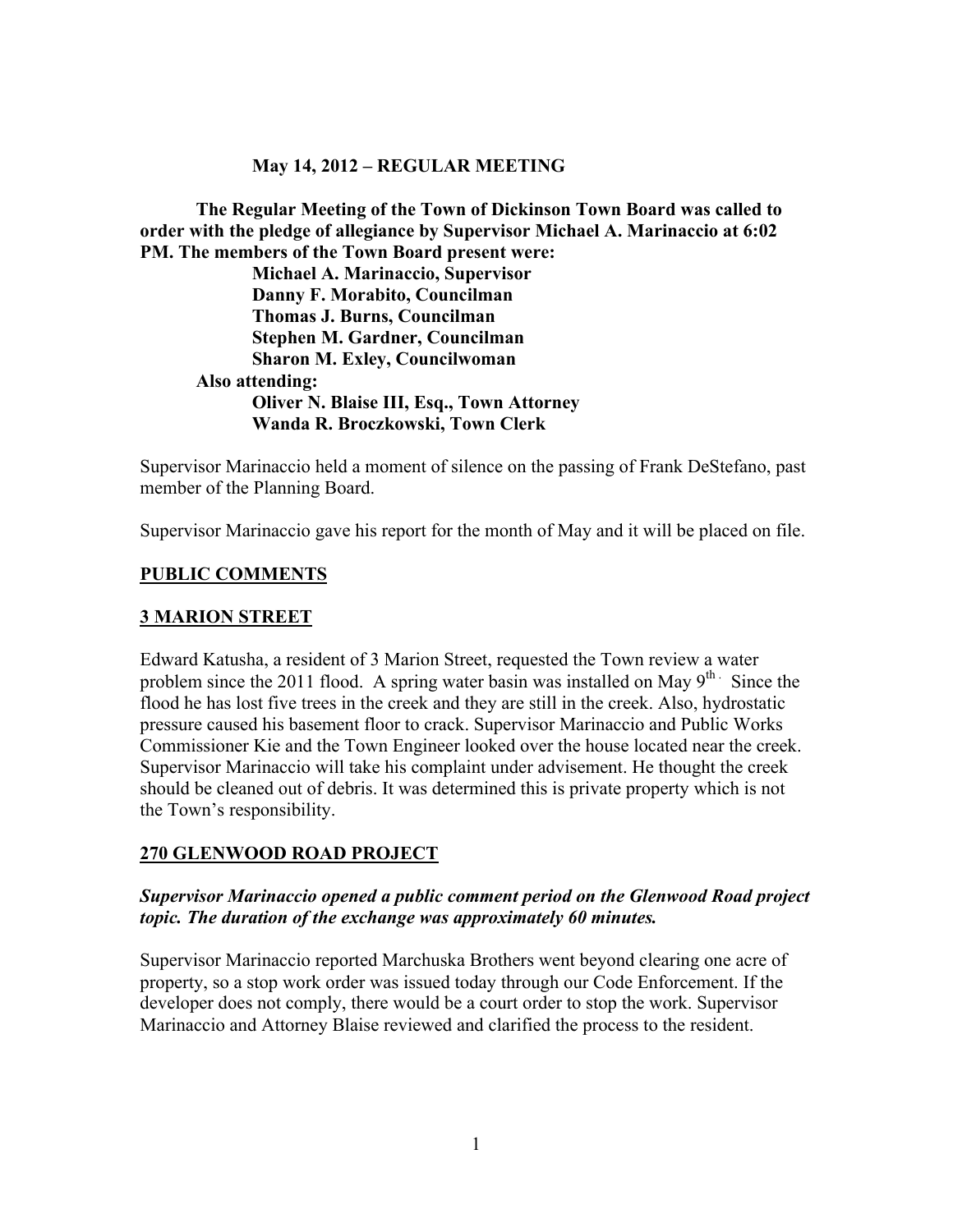## **May 14, 2012 – REGULAR MEETING**

**The Regular Meeting of the Town of Dickinson Town Board was called to order with the pledge of allegiance by Supervisor Michael A. Marinaccio at 6:02 PM. The members of the Town Board present were:**

**Michael A. Marinaccio, Supervisor Danny F. Morabito, Councilman Thomas J. Burns, Councilman Stephen M. Gardner, Councilman Sharon M. Exley, Councilwoman Also attending: Oliver N. Blaise III, Esq., Town Attorney Wanda R. Broczkowski, Town Clerk**

Supervisor Marinaccio held a moment of silence on the passing of Frank DeStefano, past member of the Planning Board.

Supervisor Marinaccio gave his report for the month of May and it will be placed on file.

### **PUBLIC COMMENTS**

### **3 MARION STREET**

Edward Katusha, a resident of 3 Marion Street, requested the Town review a water problem since the 2011 flood. A spring water basin was installed on May  $9^{th}$ . Since the flood he has lost five trees in the creek and they are still in the creek. Also, hydrostatic pressure caused his basement floor to crack. Supervisor Marinaccio and Public Works Commissioner Kie and the Town Engineer looked over the house located near the creek. Supervisor Marinaccio will take his complaint under advisement. He thought the creek should be cleaned out of debris. It was determined this is private property which is not the Town's responsibility.

# **270 GLENWOOD ROAD PROJECT**

## *Supervisor Marinaccio opened a public comment period on the Glenwood Road project topic. The duration of the exchange was approximately 60 minutes.*

Supervisor Marinaccio reported Marchuska Brothers went beyond clearing one acre of property, so a stop work order was issued today through our Code Enforcement. If the developer does not comply, there would be a court order to stop the work. Supervisor Marinaccio and Attorney Blaise reviewed and clarified the process to the resident.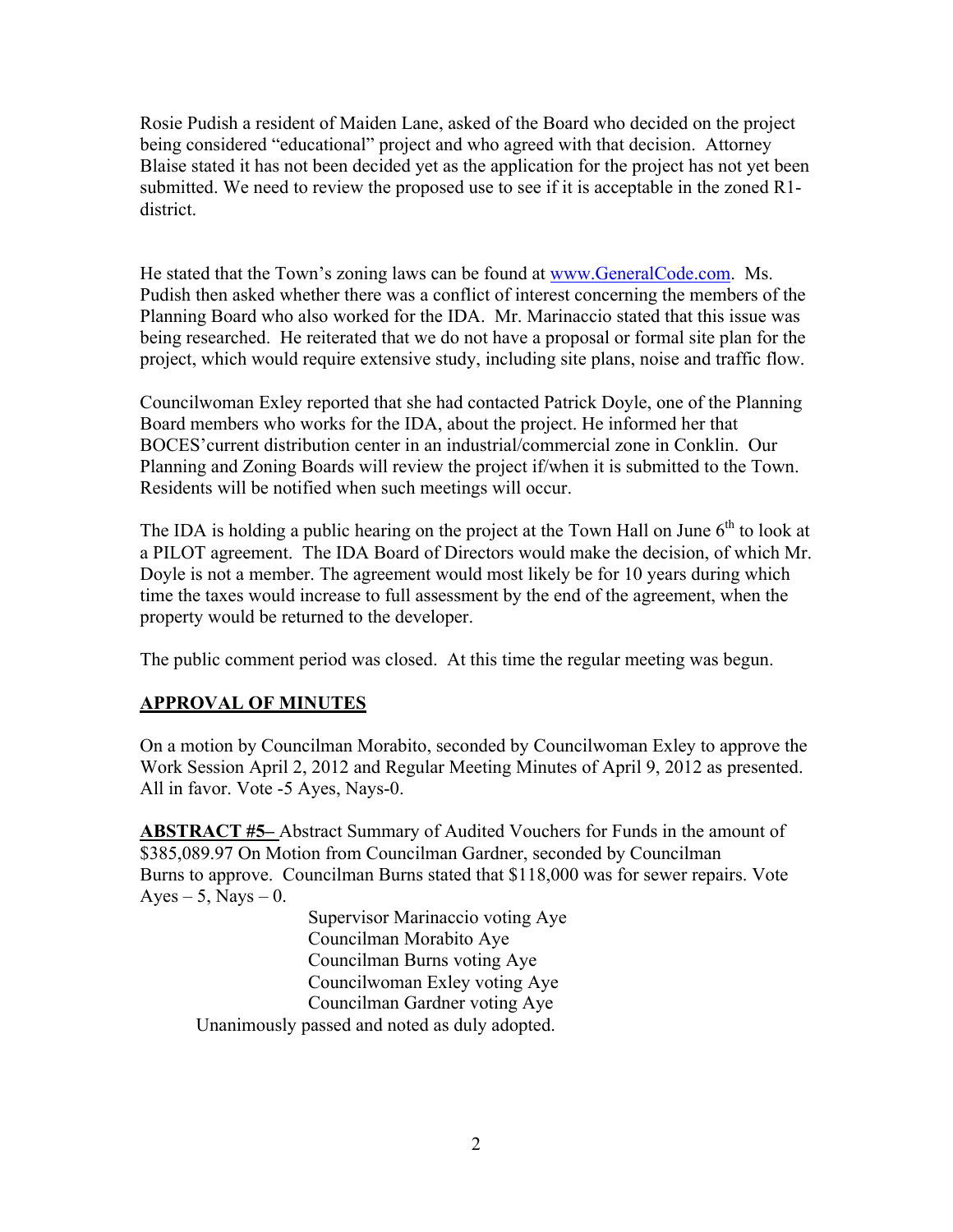Rosie Pudish a resident of Maiden Lane, asked of the Board who decided on the project being considered "educational" project and who agreed with that decision. Attorney Blaise stated it has not been decided yet as the application for the project has not yet been submitted. We need to review the proposed use to see if it is acceptable in the zoned R1 district.

He stated that the Town's zoning laws can be found at www.GeneralCode.com. Ms. Pudish then asked whether there was a conflict of interest concerning the members of the Planning Board who also worked for the IDA. Mr. Marinaccio stated that this issue was being researched. He reiterated that we do not have a proposal or formal site plan for the project, which would require extensive study, including site plans, noise and traffic flow.

Councilwoman Exley reported that she had contacted Patrick Doyle, one of the Planning Board members who works for the IDA, about the project. He informed her that BOCES'current distribution center in an industrial/commercial zone in Conklin. Our Planning and Zoning Boards will review the project if/when it is submitted to the Town. Residents will be notified when such meetings will occur.

The IDA is holding a public hearing on the project at the Town Hall on June  $6<sup>th</sup>$  to look at a PILOT agreement. The IDA Board of Directors would make the decision, of which Mr. Doyle is not a member. The agreement would most likely be for 10 years during which time the taxes would increase to full assessment by the end of the agreement, when the property would be returned to the developer.

The public comment period was closed. At this time the regular meeting was begun.

# **APPROVAL OF MINUTES**

On a motion by Councilman Morabito, seconded by Councilwoman Exley to approve the Work Session April 2, 2012 and Regular Meeting Minutes of April 9, 2012 as presented. All in favor. Vote -5 Ayes, Nays-0.

**ABSTRACT #5–** Abstract Summary of Audited Vouchers for Funds in the amount of \$385,089.97 On Motion from Councilman Gardner, seconded by Councilman Burns to approve. Councilman Burns stated that \$118,000 was for sewer repairs. Vote  $Ayes - 5$ , Nays  $-0$ .

> Supervisor Marinaccio voting Aye Councilman Morabito Aye Councilman Burns voting Aye Councilwoman Exley voting Aye Councilman Gardner voting Aye

Unanimously passed and noted as duly adopted.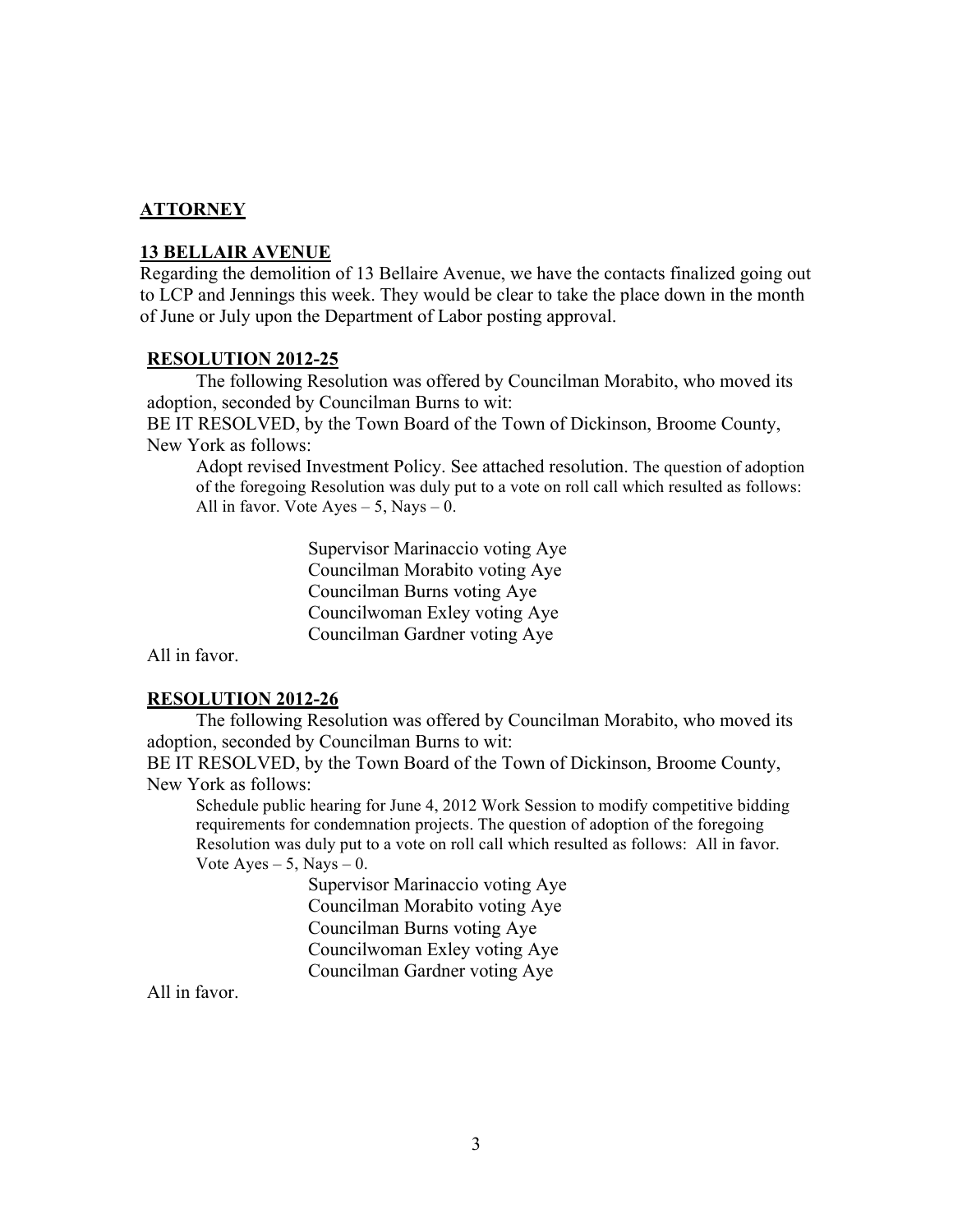## **ATTORNEY**

#### **13 BELLAIR AVENUE**

Regarding the demolition of 13 Bellaire Avenue, we have the contacts finalized going out to LCP and Jennings this week. They would be clear to take the place down in the month of June or July upon the Department of Labor posting approval.

#### **RESOLUTION 2012-25**

The following Resolution was offered by Councilman Morabito, who moved its adoption, seconded by Councilman Burns to wit:

BE IT RESOLVED, by the Town Board of the Town of Dickinson, Broome County, New York as follows:

Adopt revised Investment Policy. See attached resolution. The question of adoption of the foregoing Resolution was duly put to a vote on roll call which resulted as follows: All in favor. Vote  $Ayes - 5$ , Nays  $- 0$ .

> Supervisor Marinaccio voting Aye Councilman Morabito voting Aye Councilman Burns voting Aye Councilwoman Exley voting Aye Councilman Gardner voting Aye

All in favor.

#### **RESOLUTION 2012-26**

The following Resolution was offered by Councilman Morabito, who moved its adoption, seconded by Councilman Burns to wit:

BE IT RESOLVED, by the Town Board of the Town of Dickinson, Broome County, New York as follows:

Schedule public hearing for June 4, 2012 Work Session to modify competitive bidding requirements for condemnation projects. The question of adoption of the foregoing Resolution was duly put to a vote on roll call which resulted as follows: All in favor. Vote  $Ayes - 5$ , Nays  $- 0$ .

> Supervisor Marinaccio voting Aye Councilman Morabito voting Aye Councilman Burns voting Aye Councilwoman Exley voting Aye Councilman Gardner voting Aye

All in favor.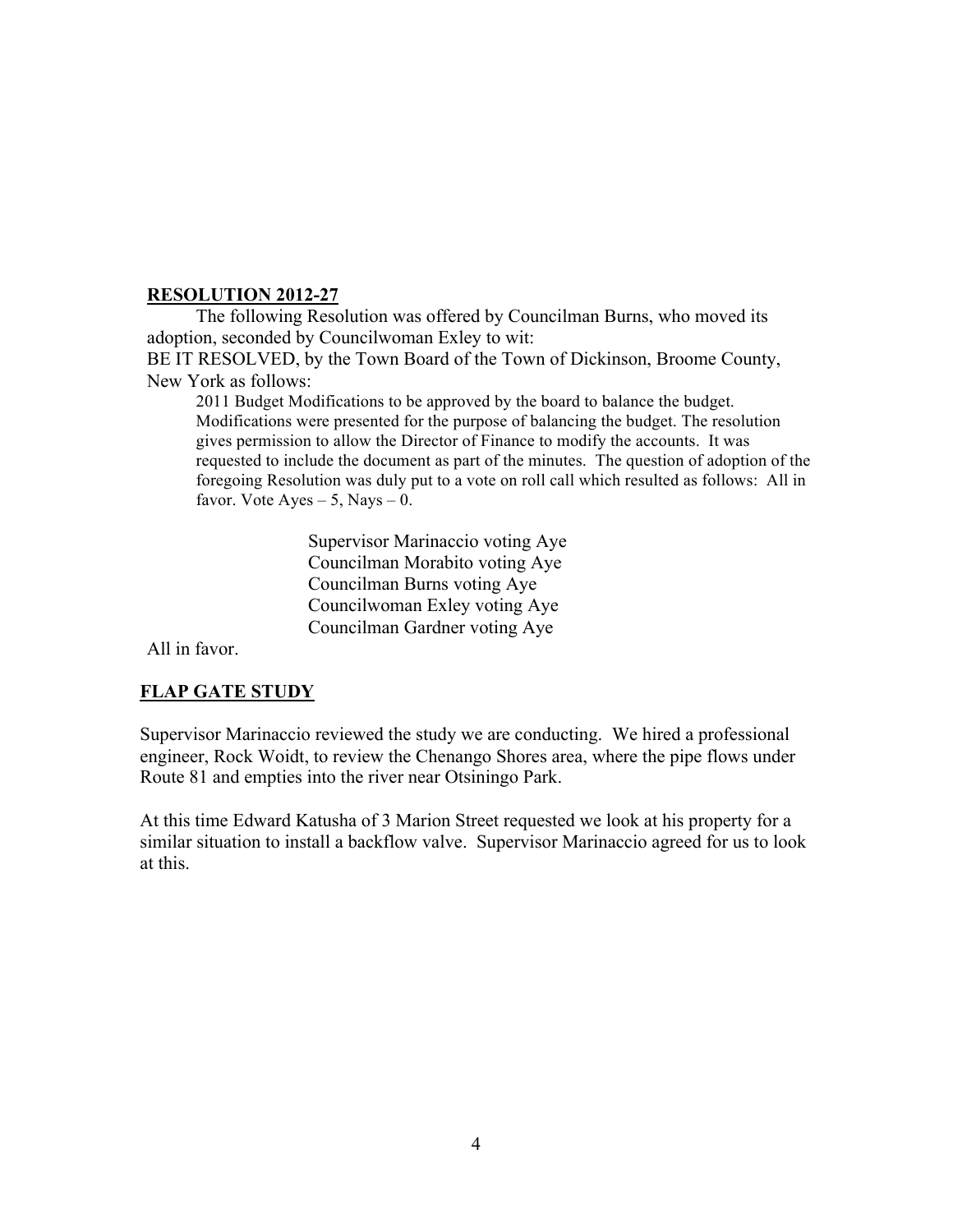# **RESOLUTION 2012-27**

The following Resolution was offered by Councilman Burns, who moved its adoption, seconded by Councilwoman Exley to wit:

BE IT RESOLVED, by the Town Board of the Town of Dickinson, Broome County, New York as follows:

2011 Budget Modifications to be approved by the board to balance the budget. Modifications were presented for the purpose of balancing the budget. The resolution gives permission to allow the Director of Finance to modify the accounts. It was requested to include the document as part of the minutes. The question of adoption of the foregoing Resolution was duly put to a vote on roll call which resulted as follows: All in favor. Vote  $Ayes - 5$ , Nays  $- 0$ .

> Supervisor Marinaccio voting Aye Councilman Morabito voting Aye Councilman Burns voting Aye Councilwoman Exley voting Aye Councilman Gardner voting Aye

All in favor.

# **FLAP GATE STUDY**

Supervisor Marinaccio reviewed the study we are conducting. We hired a professional engineer, Rock Woidt, to review the Chenango Shores area, where the pipe flows under Route 81 and empties into the river near Otsiningo Park.

At this time Edward Katusha of 3 Marion Street requested we look at his property for a similar situation to install a backflow valve. Supervisor Marinaccio agreed for us to look at this.